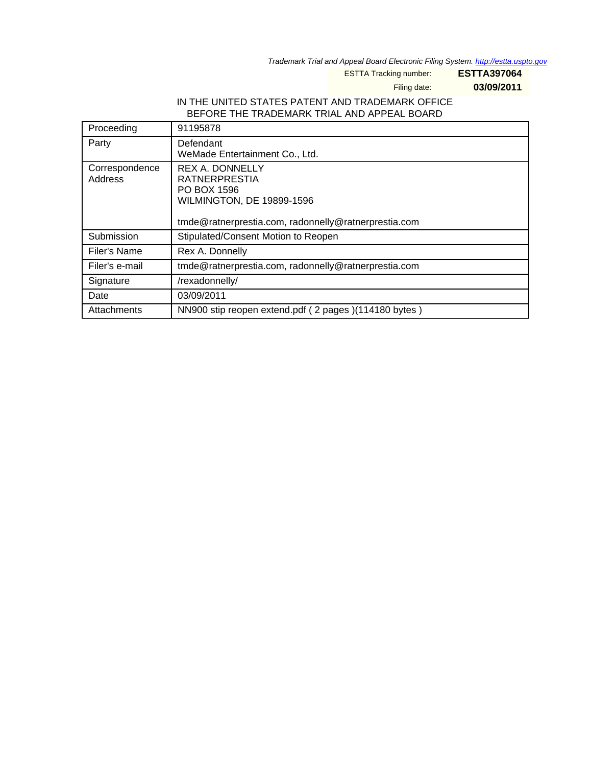Trademark Trial and Appeal Board Electronic Filing System. <http://estta.uspto.gov>

ESTTA Tracking number: **ESTTA397064**

Filing date: **03/09/2011**

## IN THE UNITED STATES PATENT AND TRADEMARK OFFICE BEFORE THE TRADEMARK TRIAL AND APPEAL BOARD

| Proceeding                | 91195878                                                                                                                                                  |
|---------------------------|-----------------------------------------------------------------------------------------------------------------------------------------------------------|
| Party                     | Defendant<br>WeMade Entertainment Co., Ltd.                                                                                                               |
| Correspondence<br>Address | <b>REX A. DONNELLY</b><br><b>RATNERPRESTIA</b><br>PO BOX 1596<br><b>WILMINGTON, DE 19899-1596</b><br>tmde@ratnerprestia.com, radonnelly@ratnerprestia.com |
| Submission                | Stipulated/Consent Motion to Reopen                                                                                                                       |
| Filer's Name              | Rex A. Donnelly                                                                                                                                           |
| Filer's e-mail            | tmde@ratnerprestia.com, radonnelly@ratnerprestia.com                                                                                                      |
| Signature                 | /rexadonnelly/                                                                                                                                            |
| Date                      | 03/09/2011                                                                                                                                                |
| Attachments               | NN900 stip reopen extend.pdf (2 pages)(114180 bytes)                                                                                                      |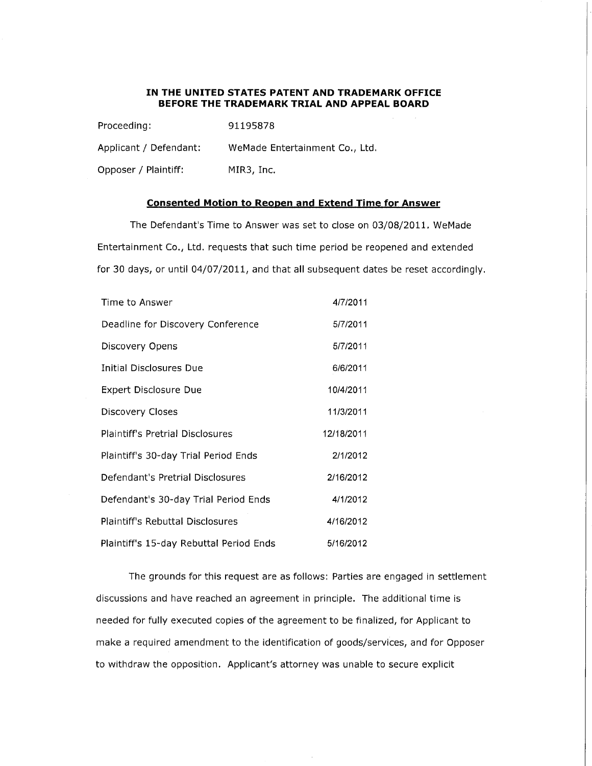## IN THE UNITED STATES PATENT AND TRADEMARK OFFICE BEFORE THE TRADEMARK TRIAL AND APPEAL BOARD

| Proceeding:            | 91195878                       |
|------------------------|--------------------------------|
| Applicant / Defendant: | WeMade Entertainment Co., Ltd. |
| Opposer / Plaintiff:   | MIR3, Inc.                     |

## Consented Motion to Reopen and Extend Time for Answer

The Defendant's Time to Answer was set to close on 03/08/2011. WeMade Entertainment Co., Ltd. requests that such time period be reopened and extended for 30 days, or until 04/07/2011, and that all subsequent dates be reset accordingly.

| Time to Answer                          | 4/7/2011   |
|-----------------------------------------|------------|
| Deadline for Discovery Conference       | 5/7/2011   |
| Discovery Opens                         | 5/7/2011   |
| Initial Disclosures Due                 | 6/6/2011   |
| Expert Disclosure Due                   | 10/4/2011  |
| Discovery Closes                        | 11/3/2011  |
| <b>Plaintiff's Pretrial Disclosures</b> | 12/18/2011 |
| Plaintiff's 30-day Trial Period Ends    | 2/1/2012   |
| Defendant's Pretrial Disclosures        | 2/16/2012  |
| Defendant's 30-day Trial Period Ends    | 4/1/2012   |
| Plaintiff's Rebuttal Disclosures        | 4/16/2012  |
| Plaintiff's 15-day Rebuttal Period Ends | 5/16/2012  |

The grounds for this request are as follows: Parties are engaged in settlement discussions and have reached an agreement in principle. The additional time is needed for fully executed copies of the agreement to be finalized, for Applicant to make a required amendment to the identification of goods/services, and for Opposer to withdraw the opposition. Applicant's attorney was unable to secure explicit